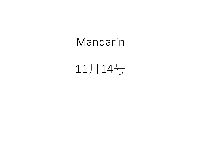## Mandarin

# 11月14号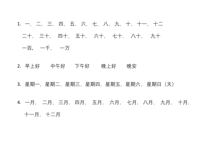1. 一, 二, 三, 四, 五, 六, 七, 八, 九, 十, 十一, 十二 二十, 三十, 四十, 五十, 六十, 七十, 八十, 九十 一百, 一千, 一万

2. 早上好 中午好 下午好 晚上好 晚安

3.星期一,星期二,星期四,星期五,星期六,星期日(天)

4. 一月, 二月, 三月, 四月, 五月, 六月, 七月, 八月, 九月, 十月, 十一月, 十二月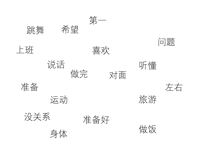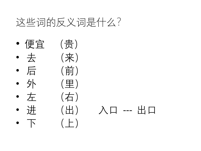# 这些词的反义词是什么?

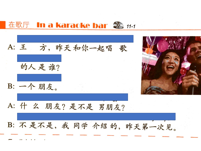### 在歌厅 In a karaoke bar 20 11-1





- A: 什 么 朋友? 是不是 男朋友?
- B: 不是不是, 我同学 介绍的, 昨天第一次见。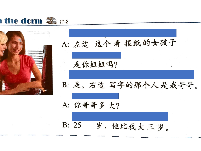



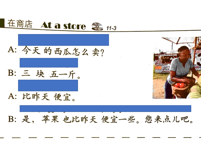

B: 是, 苹果 也比昨天 便宜一些。您来点儿吧。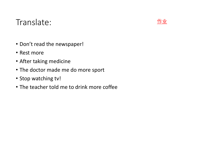#### Translate:

- Don't read the newspaper!
- Rest more
- After taking medicine
- The doctor made me do more sport
- Stop watching tv!
- The teacher told me to drink more coffee

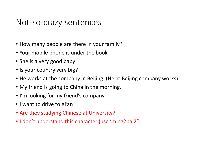#### Not-so-crazy sentences

- How many people are there in your family?
- Your mobile phone is under the book
- She is a very good baby
- Is your country very big?
- He works at the company in Beijing. (He at Beijing company works)
- My friend is going to China in the morning.
- I'm looking for my friend's company
- I want to drive to Xi'an
- Are they studying Chinese at University?
- I don't understand this character (use 'ming2bai2')